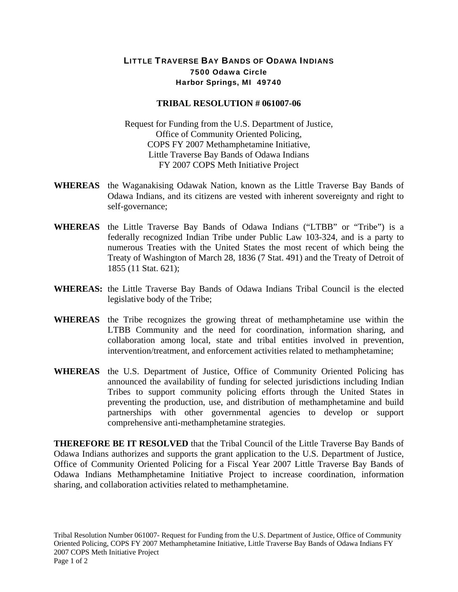## LITTLE TRAVERSE BAY BANDS OF ODAWA INDIANS 7500 Odawa Circle Harbor Springs, MI 49740

## **TRIBAL RESOLUTION # 061007-06**

Request for Funding from the U.S. Department of Justice, Office of Community Oriented Policing, COPS FY 2007 Methamphetamine Initiative, Little Traverse Bay Bands of Odawa Indians FY 2007 COPS Meth Initiative Project

- **WHEREAS** the Waganakising Odawak Nation, known as the Little Traverse Bay Bands of Odawa Indians, and its citizens are vested with inherent sovereignty and right to self-governance;
- **WHEREAS** the Little Traverse Bay Bands of Odawa Indians ("LTBB" or "Tribe") is a federally recognized Indian Tribe under Public Law 103-324, and is a party to numerous Treaties with the United States the most recent of which being the Treaty of Washington of March 28, 1836 (7 Stat. 491) and the Treaty of Detroit of 1855 (11 Stat. 621);
- **WHEREAS:** the Little Traverse Bay Bands of Odawa Indians Tribal Council is the elected legislative body of the Tribe;
- **WHEREAS** the Tribe recognizes the growing threat of methamphetamine use within the LTBB Community and the need for coordination, information sharing, and collaboration among local, state and tribal entities involved in prevention, intervention/treatment, and enforcement activities related to methamphetamine;
- **WHEREAS** the U.S. Department of Justice, Office of Community Oriented Policing has announced the availability of funding for selected jurisdictions including Indian Tribes to support community policing efforts through the United States in preventing the production, use, and distribution of methamphetamine and build partnerships with other governmental agencies to develop or support comprehensive anti-methamphetamine strategies.

**THEREFORE BE IT RESOLVED** that the Tribal Council of the Little Traverse Bay Bands of Odawa Indians authorizes and supports the grant application to the U.S. Department of Justice, Office of Community Oriented Policing for a Fiscal Year 2007 Little Traverse Bay Bands of Odawa Indians Methamphetamine Initiative Project to increase coordination, information sharing, and collaboration activities related to methamphetamine.